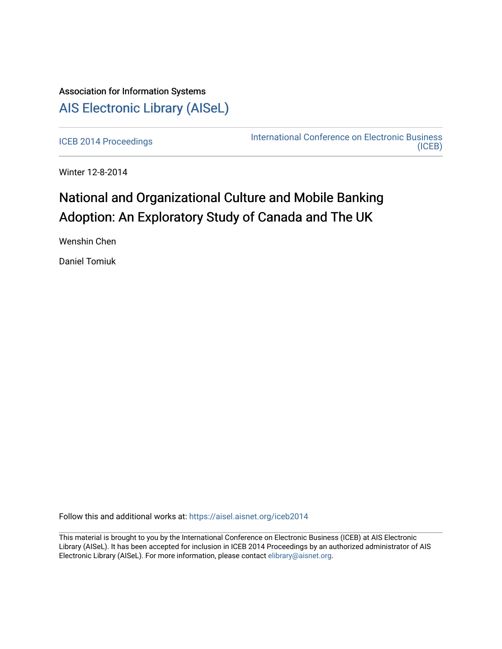# Association for Information Systems [AIS Electronic Library \(AISeL\)](https://aisel.aisnet.org/)

[ICEB 2014 Proceedings](https://aisel.aisnet.org/iceb2014) **International Conference on Electronic Business** [\(ICEB\)](https://aisel.aisnet.org/iceb) 

Winter 12-8-2014

# National and Organizational Culture and Mobile Banking Adoption: An Exploratory Study of Canada and The UK

Wenshin Chen

Daniel Tomiuk

Follow this and additional works at: [https://aisel.aisnet.org/iceb2014](https://aisel.aisnet.org/iceb2014?utm_source=aisel.aisnet.org%2Ficeb2014%2F29&utm_medium=PDF&utm_campaign=PDFCoverPages)

This material is brought to you by the International Conference on Electronic Business (ICEB) at AIS Electronic Library (AISeL). It has been accepted for inclusion in ICEB 2014 Proceedings by an authorized administrator of AIS Electronic Library (AISeL). For more information, please contact [elibrary@aisnet.org.](mailto:elibrary@aisnet.org%3E)